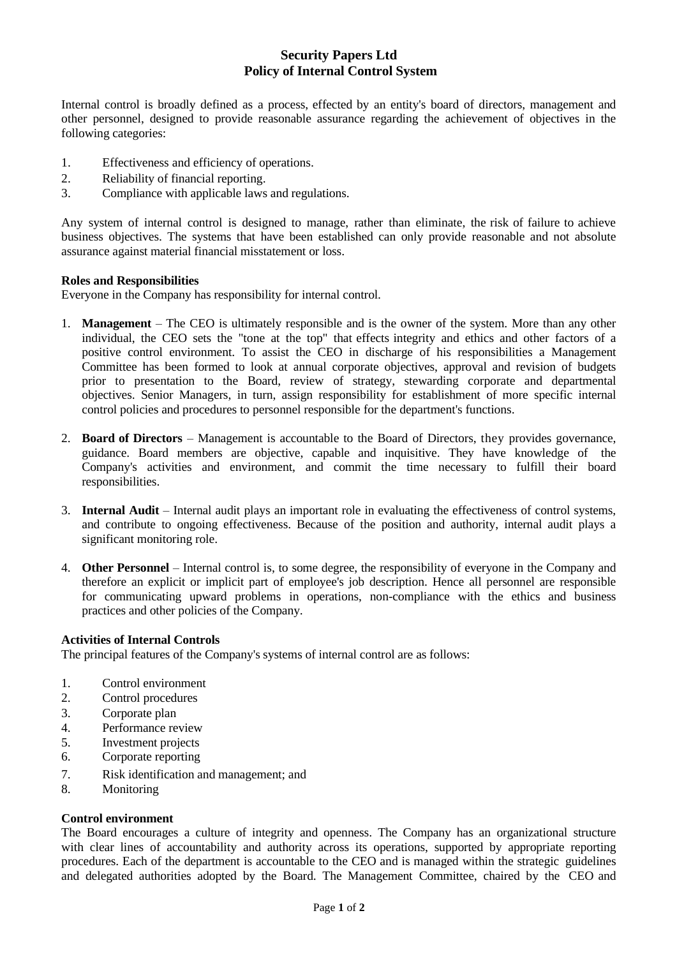# **Security Papers Ltd Policy of Internal Control System**

Internal control is broadly defined as a process, effected by an entity's board of directors, management and other personnel, designed to provide reasonable assurance regarding the achievement of objectives in the following categories:

- 1. Effectiveness and efficiency of operations.
- 2. Reliability of financial reporting.
- 3. Compliance with applicable laws and regulations.

Any system of internal control is designed to manage, rather than eliminate, the risk of failure to achieve business objectives. The systems that have been established can only provide reasonable and not absolute assurance against material financial misstatement or loss.

# **Roles and Responsibilities**

Everyone in the Company has responsibility for internal control.

- 1. **Management** The CEO is ultimately responsible and is the owner of the system. More than any other individual, the CEO sets the "tone at the top" that effects integrity and ethics and other factors of a positive control environment. To assist the CEO in discharge of his responsibilities a Management Committee has been formed to look at annual corporate objectives, approval and revision of budgets prior to presentation to the Board, review of strategy, stewarding corporate and departmental objectives. Senior Managers, in turn, assign responsibility for establishment of more specific internal control policies and procedures to personnel responsible for the department's functions.
- 2. **Board of Directors** Management is accountable to the Board of Directors, they provides governance, guidance. Board members are objective, capable and inquisitive. They have knowledge of the Company's activities and environment, and commit the time necessary to fulfill their board responsibilities.
- 3. **Internal Audit** Internal audit plays an important role in evaluating the effectiveness of control systems, and contribute to ongoing effectiveness. Because of the position and authority, internal audit plays a significant monitoring role.
- 4. **Other Personnel** Internal control is, to some degree, the responsibility of everyone in the Company and therefore an explicit or implicit part of employee's job description. Hence all personnel are responsible for communicating upward problems in operations, non-compliance with the ethics and business practices and other policies of the Company.

# **Activities of Internal Controls**

The principal features of the Company's systems of internal control are as follows:

- 1. Control environment
- 2. Control procedures
- 3. Corporate plan
- 4. Performance review
- 5. Investment projects
- 6. Corporate reporting
- 7. Risk identification and management; and
- 8. Monitoring

# **Control environment**

The Board encourages a culture of integrity and openness. The Company has an organizational structure with clear lines of accountability and authority across its operations, supported by appropriate reporting procedures. Each of the department is accountable to the CEO and is managed within the strategic guidelines and delegated authorities adopted by the Board. The Management Committee, chaired by the CEO and